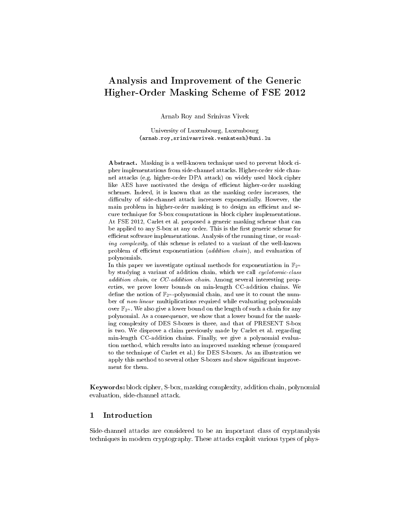# Analysis and Improvement of the Generic Higher-Order Masking Scheme of FSE 2012

Arnab Roy and Srinivas Vivek

University of Luxembourg, Luxembourg {arnab.roy,srinivasvivek.venkatesh}@uni.lu

Abstract. Masking is a well-known technique used to prevent block cipher implementations from side-channel attacks. Higher-order side channel attacks (e.g. higher-order DPA attack) on widely used block cipher like AES have motivated the design of efficient higher-order masking schemes. Indeed, it is known that as the masking order increases, the difficulty of side-channel attack increases exponentially. However, the main problem in higher-order masking is to design an efficient and secure technique for S-box computations in block cipher implementations. At FSE 2012, Carlet et al. proposed a generic masking scheme that can be applied to any S-box at any order. This is the first generic scheme for efficient software implementations. Analysis of the running time, or  $mask$ ing complexity, of this scheme is related to a variant of the well-known problem of efficient exponentiation (*addition chain*), and evaluation of polynomials.

In this paper we investigate optimal methods for exponentiation in  $\mathbb{F}_{2^n}$ by studying a variant of addition chain, which we call cyclotomic-class addition chain, or CC-addition chain. Among several interesting properties, we prove lower bounds on min-length CC-addition chains. We define the notion of  $\mathbb{F}_{2^n}$ -polynomial chain, and use it to count the number of non-linear multiplications required while evaluating polynomials over  $\mathbb{F}_{2^n}$ . We also give a lower bound on the length of such a chain for any polynomial. As a consequence, we show that a lower bound for the masking complexity of DES S-boxes is three, and that of PRESENT S-box is two. We disprove a claim previously made by Carlet et al. regarding min-length CC-addition chains. Finally, we give a polynomial evaluation method, which results into an improved masking scheme (compared to the technique of Carlet et al.) for DES S-boxes. As an illustration we apply this method to several other S-boxes and show signicant improvement for them.

Keywords: block cipher, S-box, masking complexity, addition chain, polynomial evaluation, side-channel attack.

### 1 Introduction

Side-channel attacks are considered to be an important class of cryptanalysis techniques in modern cryptography. These attacks exploit various types of phys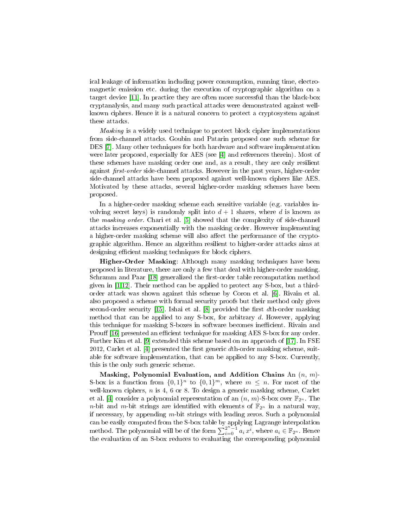ical leakage of information including power consumption, running time, electromagnetic emission etc. during the execution of cryptographic algorithm on a target device [\[11\]](#page-14-0). In practice they are often more successful than the black-box cryptanalysis, and many such practical attacks were demonstrated against wellknown ciphers. Hence it is a natural concern to protect a cryptosystem against these attacks.

Masking is a widely used technique to protect block cipher implementations from side-channel attacks. Goubin and Patarin proposed one such scheme for DES [\[7\]](#page-14-1). Many other techniques for both hardware and software implementation were later proposed, especially for AES (see [\[4\]](#page-14-2) and references therein). Most of these schemes have masking order one and, as a result, they are only resilient against *first-order* side-channel attacks. However in the past years, higher-order side-channel attacks have been proposed against well-known ciphers like AES. Motivated by these attacks, several higher-order masking schemes have been proposed.

In a higher-order masking scheme each sensitive variable (e.g. variables involving secret keys) is randomly split into  $d+1$  shares, where d is known as the masking order. Chari et al. [\[5\]](#page-14-3) showed that the complexity of side-channel attacks increases exponentially with the masking order. However implementing a higher-order masking scheme will also affect the performance of the cryptographic algorithm. Hence an algorithm resilient to higher-order attacks aims at designing efficient masking techniques for block ciphers.

Higher-Order Masking: Although many masking techniques have been proposed in literature, there are only a few that deal with higher-order masking. Schramm and Paar [\[18\]](#page-15-0) generalized the first-order table recomputation method given in [\[1](#page-14-4)[,12\]](#page-15-1). Their method can be applied to protect any S-box, but a thirdorder attack was shown against this scheme by Coron et al. [\[6\]](#page-14-5). Rivain et al. also proposed a scheme with formal security proofs but their method only gives second-order security  $[15]$ . Ishai et al.  $[8]$  provided the first dth-order masking method that can be applied to any S-box, for arbitrary  $d$ . However, applying this technique for masking S-boxes in software becomes inefficient. Rivain and Prouff [\[16\]](#page-15-3) presented an efficient technique for masking AES S-box for any order. Further Kim et al. [\[9\]](#page-14-7) extended this scheme based on an approach of [\[17\]](#page-15-4). In FSE 2012, Carlet et al.  $|4|$  presented the first generic dth-order masking scheme, suitable for software implementation, that can be applied to any S-box. Currently, this is the only such generic scheme.

Masking, Polynomial Evaluation, and Addition Chains An  $(n, m)$ -S-box is a function from  $\{0,1\}^n$  to  $\{0,1\}^m$ , where  $m \leq n$ . For most of the well-known ciphers, *n* is 4, 6 or 8. To design a generic masking scheme, Carlet et al. [\[4\]](#page-14-2) consider a polynomial representation of an  $(n, m)$ -S-box over  $\mathbb{F}_{2^n}$ . The *n*-bit and *m*-bit strings are identified with elements of  $\mathbb{F}_{2^n}$  in a natural way, if necessary, by appending  $m$ -bit strings with leading zeros. Such a polynomial can be easily computed from the S-box table by applying Lagrange interpolation method. The polynomial will be of the form  $\sum_{i=0}^{2^n-1} a_i x^i$ , where  $a_i \in \mathbb{F}_{2^n}$ . Hence the evaluation of an S-box reduces to evaluating the corresponding polynomial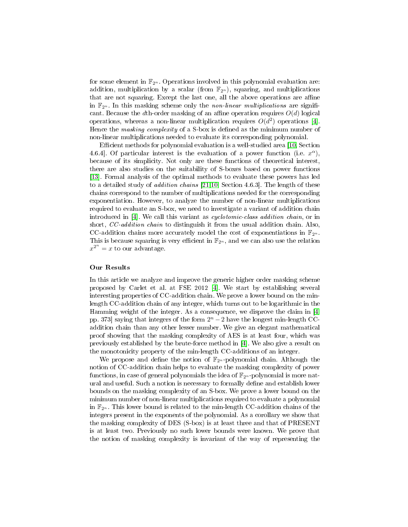for some element in  $\mathbb{F}_{2^n}$ . Operations involved in this polynomial evaluation are: addition, multiplication by a scalar (from  $\mathbb{F}_{2^n}$ ), squaring, and multiplications that are not squaring. Except the last one, all the above operations are affine in  $\mathbb{F}_{2^n}$ . In this masking scheme only the non-linear multiplications are significant. Because the dth-order masking of an affine operation requires  $O(d)$  logical operations, whereas a non-linear multiplication requires  $O(d^2)$  operations [\[4\]](#page-14-2). Hence the *masking complexity* of a S-box is defined as the minimum number of non-linear multiplications needed to evaluate its corresponding polynomial.

Efficient methods for polynomial evaluation is a well-studied area [\[10,](#page-14-8) Section 4.6.4. Of particular interest is the evaluation of a power function (i.e.  $x^{\alpha}$ ), because of its simplicity. Not only are these functions of theoretical interest, there are also studies on the suitability of S-boxes based on power functions [\[13\]](#page-15-5). Formal analysis of the optimal methods to evaluate these powers has led to a detailed study of addition chains [\[21,](#page-15-6)[10,](#page-14-8) Section 4.6.3]. The length of these chains correspond to the number of multiplications needed for the corresponding exponentiation. However, to analyze the number of non-linear multiplications required to evaluate an S-box, we need to investigate a variant of addition chain introduced in [\[4\]](#page-14-2). We call this variant as *cyclotomic-class addition chain*, or in short, CC-addition chain to distinguish it from the usual addition chain. Also, CC-addition chains more accurately model the cost of exponentiations in  $\mathbb{F}_{2^n}$ . This is because squaring is very efficient in  $\mathbb{F}_{2^n}$ , and we can also use the relation  $x^{2^n} = x$  to our advantage.

### Our Results

In this article we analyze and improve the generic higher order masking scheme proposed by Carlet et al. at FSE 2012 [\[4\]](#page-14-2). We start by establishing several interesting properties of CC-addition chain. We prove a lower bound on the minlength CC-addition chain of any integer, which turns out to be logarithmic in the Hamming weight of the integer. As a consequence, we disprove the claim in [\[4,](#page-14-2) pp. 373] saying that integers of the form  $2<sup>n</sup> - 2$  have the longest min-length CCaddition chain than any other lesser number. We give an elegant mathematical proof showing that the masking complexity of AES is at least four, which was previously established by the brute-force method in [\[4\]](#page-14-2). We also give a result on the monotonicity property of the min-length CC-additions of an integer.

We propose and define the notion of  $\mathbb{F}_{2^n}$ -polynomial chain. Although the notion of CC-addition chain helps to evaluate the masking complexity of power functions, in case of general polynomials the idea of  $\mathbb{F}_{2^n}$ -polynomial is more natural and useful. Such a notion is necessary to formally define and establish lower bounds on the masking complexity of an S-box. We prove a lower bound on the minimum number of non-linear multiplications required to evaluate a polynomial in  $\mathbb{F}_{2^n}$ . This lower bound is related to the min-length CC-addition chains of the integers present in the exponents of the polynomial. As a corollary we show that the masking complexity of DES (S-box) is at least three and that of PRESENT is at least two. Previously no such lower bounds were known. We prove that the notion of masking complexity is invariant of the way of representing the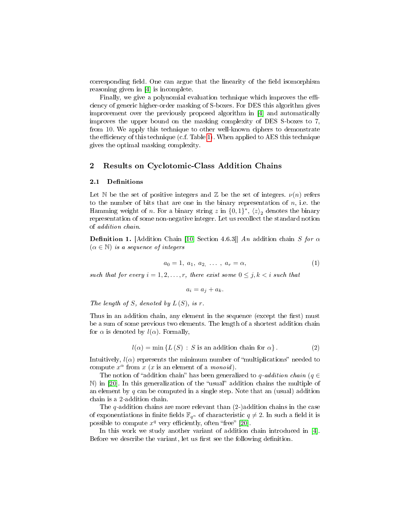corresponding field. One can argue that the linearity of the field isomorphism reasoning given in [\[4\]](#page-14-2) is incomplete.

Finally, we give a polynomial evaluation technique which improves the efficiency of generic higher-order masking of S-boxes. For DES this algorithm gives improvement over the previously proposed algorithm in [\[4\]](#page-14-2) and automatically improves the upper bound on the masking complexity of DES S-boxes to 7, from 10. We apply this technique to other well-known ciphers to demonstrate the efficiency of this technique (c.f. Table [1\)](#page-12-0). When applied to AES this technique gives the optimal masking complexity.

### 2 Results on Cyclotomic-Class Addition Chains

#### 2.1 Definitions

Let N be the set of positive integers and Z be the set of integers.  $\nu(n)$  refers to the number of bits that are one in the binary representation of  $n$ , i.e. the Hamming weight of *n*. For a binary string  $z$  in  $\{0,1\}^*, \langle z \rangle_2$  denotes the binary representation of some non-negative integer. Let us recollect the standard notion of addition chain.

**Definition 1.** [Addition Chain [\[10,](#page-14-8) Section 4.6.3]] An addition chain S for  $\alpha$  $(\alpha \in \mathbb{N})$  is a sequence of integers

$$
a_0 = 1, \ a_1, \ a_2, \ \ldots \ , \ a_r = \alpha,\tag{1}
$$

such that for every  $i = 1, 2, ..., r$ , there exist some  $0 \leq j, k < i$  such that

 $a_i = a_j + a_k.$ 

The length of S, denoted by  $L(S)$ , is r.

Thus in an addition chain, any element in the sequence (except the first) must be a sum of some previous two elements. The length of a shortest addition chain for  $\alpha$  is denoted by  $l(\alpha)$ . Formally,

$$
l(\alpha) = \min \{ L(S) : S \text{ is an addition chain for } \alpha \}. \tag{2}
$$

Intuitively,  $l(\alpha)$  represents the minimum number of "multiplications" needed to compute  $x^{\alpha}$  from  $x$  (x is an element of a *monoid*).

The notion of "addition chain" has been generalized to q-addition chain ( $q \in$  $\mathbb N$ ) in [\[20\]](#page-15-7). In this generalization of the "usual" addition chains the multiple of an element by  $q$  can be computed in a single step. Note that an (usual) addition chain is a 2-addition chain.

The q-addition chains are more relevant than  $(2-)$  addition chains in the case of exponentiations in finite fields  $\mathbb{F}_{q^n}$  of characteristic  $q \neq 2$ . In such a field it is possible to compute  $x^q$  very efficiently, often "free" [\[20\]](#page-15-7).

In this work we study another variant of addition chain introduced in [\[4\]](#page-14-2). Before we describe the variant, let us first see the following definition.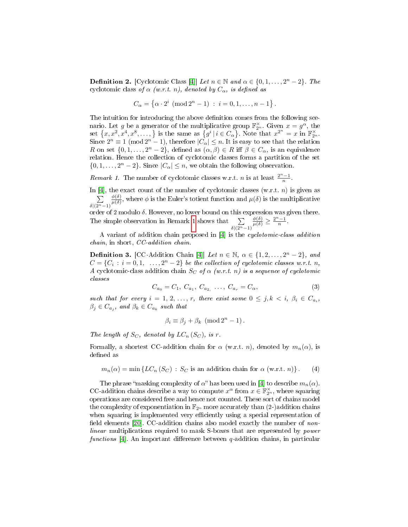**Definition 2.** [Cyclotomic Class [\[4\]](#page-14-2)] Let  $n \in \mathbb{N}$  and  $\alpha \in \{0, 1, ..., 2^n - 2\}$ . The cyclotomic class of  $\alpha$  (w.r.t. n), denoted by  $C_{\alpha}$ , is defined as

<span id="page-4-0"></span>
$$
C_{\alpha} = \{ \alpha \cdot 2^{i} \; (\text{mod } 2^{n} - 1) \; : \; i = 0, 1, \dots, n - 1 \}.
$$

The intuition for introducing the above definition comes from the following scenario. Let g be a generator of the multiplicative group  $\mathbb{F}_{2^n}^{\times}$ . Given  $x = g^{\alpha}$ , the set  $\{x, x^2, x^4, x^8, \ldots, \}$  is the same as  $\{g^i \mid i \in C_\alpha\}$ . Note that  $x^{2^n} = x$  in  $\mathbb{F}_{2^n}^\times$ . Since  $2^n \equiv 1 \pmod{2^n - 1}$ , therefore  $|\hat{C_{\alpha}}| \leq n$ . It is easy to see that the relation R on set  $\{0, 1, \ldots, 2^n - 2\}$ , defined as  $(\alpha, \beta) \in R$  iff  $\beta \in C_\alpha$ , is an equivalence relation. Hence the collection of cyclotomic classes forms a partition of the set  $\{0, 1, \ldots, 2^n - 2\}$ . Since  $|C_{\alpha}| \leq n$ , we obtain the following observation.

Remark 1. The number of cyclotomic classes w.r.t. *n* is at least  $\frac{2^n-1}{n}$ .

In [\[4\]](#page-14-2), the exact count of the number of cyclotomic classes  $(w.r.t. n)$  is given as P  $\delta|(2^n-1)$  $\phi(\delta)$  $\frac{\phi(\delta)}{\mu(\delta)}$ , where  $\phi$  is the Euler's totient function and  $\mu(\delta)$  is the multiplicative

order of 2 modulo  $\delta$ . However, no lower bound on this expression was given there. The simple observation in Remark [1](#page-4-0) shows that  $\sum$  $\delta$ |(2<sup>n</sup>−1)  $\frac{\phi(\delta)}{\mu(\delta)} \geq \frac{2^n-1}{n}.$ 

A variant of addition chain proposed in [\[4\]](#page-14-2) is the cyclotomic-class addition chain, in short, CC-addition chain.

**Definition 3.** [CC-Addition Chain [\[4\]](#page-14-2)] Let  $n \in \mathbb{N}$ ,  $\alpha \in \{1, 2, ..., 2^n - 2\}$ , and  $C = \{C_i : i = 0, 1, \ldots, 2^n - 2\}$  be the collection of cyclotomic classes w.r.t. n, A cyclotomic-class addition chain  $S_C$  of  $\alpha$  (w.r.t. n) is a sequence of cyclotomic classes

<span id="page-4-1"></span>
$$
C_{a_0} = C_1, C_{a_1}, C_{a_2}, \dots, C_{a_r} = C_\alpha,\tag{3}
$$

such that for every  $i = 1, 2, ..., r$ , there exist some  $0 \leq j, k \leq i, \beta_i \in C_{a_i}$ ,  $\beta_j \in C_{a_j}$ , and  $\beta_k \in C_{a_k}$  such that

$$
\beta_i \equiv \beta_j + \beta_k \; (\text{mod } 2^n - 1).
$$

The length of  $S_C$ , denoted by  $LC_n(S_C)$ , is r.

Formally, a shortest CC-addition chain for  $\alpha$  (w.r.t. n), denoted by  $m_n(\alpha)$ , is defined as

 $m_n(\alpha) = \min \{LC_n(S_C) : S_C$  is an addition chain for  $\alpha$  (w.r.t. n)}. (4)

The phrase "masking complexity of  $\alpha$ " has been used in [\[4\]](#page-14-2) to describe  $m_n(\alpha)$ . CC-addition chains describe a way to compute  $x^{\alpha}$  from  $x \in \mathbb{F}_{2^n}^{\times}$ , where squaring operations are considered free and hence not counted. These sort of chains model the complexity of exponentiation in  $\mathbb{F}_{2^n}$  more accurately than (2-)addition chains when squaring is implemented very efficiently using a special representation of field elements  $[20]$ . CC-addition chains also model exactly the number of nonlinear multiplications required to mask S-boxes that are represented by power functions [\[4\]](#page-14-2). An important difference between  $q$ -addition chains, in particular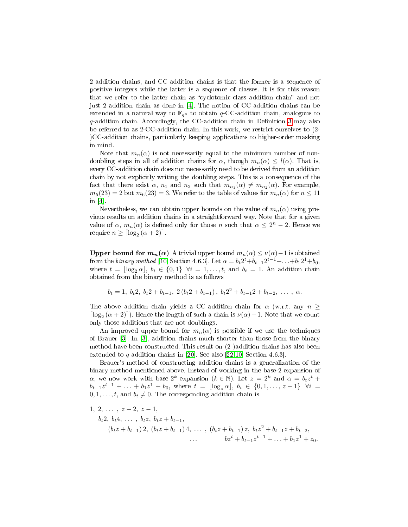2-addition chains, and CC-addition chains is that the former is a sequence of positive integers while the latter is a sequence of classes. It is for this reason that we refer to the latter chain as "cyclotomic-class addition chain" and not just 2-addition chain as done in [\[4\]](#page-14-2). The notion of CC-addition chains can be extended in a natural way to  $\mathbb{F}_{q^n}$  to obtain q-CC-addition chain, analogous to  $q$ -addition chain. Accordingly, the CC-addition chain in Definition [3](#page-4-1) may also be referred to as 2-CC-addition chain. In this work, we restrict ourselves to (2- )CC-addition chains, particularly keeping applications to higher-order masking in mind.

Note that  $m_n(\alpha)$  is not necessarily equal to the minimum number of nondoubling steps in all of addition chains for  $\alpha$ , though  $m_n(\alpha) \leq l(\alpha)$ . That is, every CC-addition chain does not necessarily need to be derived from an addition chain by not explicitly writing the doubling steps. This is a consequence of the fact that there exist  $\alpha$ ,  $n_1$  and  $n_2$  such that  $m_{n_1}(\alpha) \neq m_{n_2}(\alpha)$ . For example,  $m_5(23) = 2$  but  $m_6(23) = 3$ . We refer to the table of values for  $m_n(\alpha)$  for  $n \leq 11$ in [\[4\]](#page-14-2).

Nevertheless, we can obtain upper bounds on the value of  $m_n(\alpha)$  using previous results on addition chains in a straightforward way. Note that for a given value of  $\alpha$ ,  $m_n(\alpha)$  is defined only for those n such that  $\alpha \leq 2^n - 2$ . Hence we require  $n \geq \lceil \log_2(\alpha + 2) \rceil$ .

**Upper bound for**  $m_n(\alpha)$  A trivial upper bound  $m_n(\alpha) \leq \nu(\alpha) - 1$  is obtained from the binary method [\[10,](#page-14-8) Section 4.6.3]. Let  $\alpha = b_t 2^t + b_{t-1} 2^{t-1} + \ldots + b_1 2^1 + b_0$ , where  $t = \lfloor \log_2 \alpha \rfloor, b_i \in \{0, 1\}$   $\forall i = 1, \ldots, t$ , and  $b_t = 1$ . An addition chain obtained from the binary method is as follows

$$
b_t = 1, b_t 2, b_t 2 + b_{t-1}, 2(b_t 2 + b_{t-1}), b_t 2^2 + b_{t-1} 2 + b_{t-2}, \ldots, \alpha.
$$

The above addition chain yields a CC-addition chain for  $\alpha$  (w.r.t. any  $n \geq$  $\lceil \log_2(\alpha + 2) \rceil$ ). Hence the length of such a chain is  $\nu(\alpha) - 1$ . Note that we count only those additions that are not doublings.

An improved upper bound for  $m_n(\alpha)$  is possible if we use the techniques of Brauer [\[3\]](#page-14-9). In [\[3\]](#page-14-9), addition chains much shorter than those from the binary method have been constructed. This result on (2-)addition chains has also been extended to  $q$ -addition chains in [\[20\]](#page-15-7). See also [\[22,](#page-15-8)[10,](#page-14-8) Section 4.6.3].

Brauer's method of constructing addition chains is a generalization of the binary method mentioned above. Instead of working in the base-2 expansion of  $\alpha$ , we now work with base-2<sup>k</sup> expansion ( $k \in \mathbb{N}$ ). Let  $z = 2^k$  and  $\alpha = b_t z^t +$  $b_{t-1}z^{t-1} + \ldots + b_1z^1 + b_0$ , where  $t = \lfloor \log_z \alpha \rfloor$ ,  $b_i \in \{0, 1, \ldots, z-1\}$   $\forall i =$  $0, 1, \ldots, t$ , and  $b_t \neq 0$ . The corresponding addition chain is

1, 2, ..., 
$$
z-2
$$
,  $z-1$ ,  
\n $b_t 2$ ,  $b_t 4$ , ...,  $b_t z$ ,  $b_t z + b_{t-1}$ ,  
\n $(b_t z + b_{t-1}) 2$ ,  $(b_t z + b_{t-1}) 4$ , ...,  $(b_t z + b_{t-1}) z$ ,  $b_t z^2 + b_{t-1} z + b_{t-2}$ ,  
\n...  $bz^t + b_{t-1} z^{t-1} + ... + b_1 z^1 + z_0$ .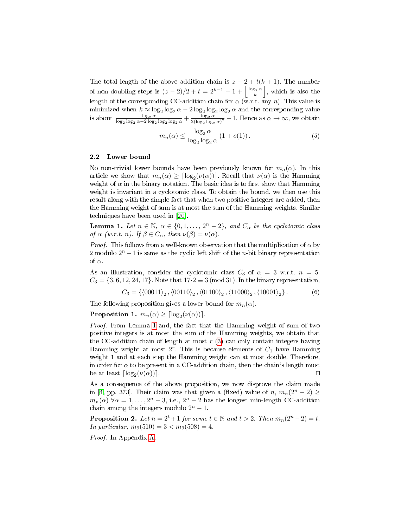The total length of the above addition chain is  $z - 2 + t(k + 1)$ . The number of non-doubling steps is  $(z-2)/2 + t = 2^{k-1} - 1 + \left\lfloor \frac{\log_2 \alpha}{k} \right\rfloor$ , which is also the length of the corresponding CC-addition chain for  $\alpha$  (w.r.t. any n). This value is minimized when  $k \approx \log_2 \log_2 \alpha - 2 \log_2 \log_2 \log_2 \alpha$  and the corresponding value is about  $\frac{\log_2 \alpha}{\log_2 \log_2 \alpha - 2 \log_2 \log_2 \log_2 \alpha} + \frac{\log_2 \alpha}{2(\log_2 \log_2 \alpha)}$  $\frac{\log_2 \alpha}{2(\log_2 \log_2 \alpha)^2} - 1$ . Hence as  $\alpha \to \infty$ , we obtain

<span id="page-6-0"></span>
$$
m_n(\alpha) \le \frac{\log_2 \alpha}{\log_2 \log_2 \alpha} (1 + o(1)).
$$
 (5)

#### 2.2 Lower bound

No non-trivial lower bounds have been previously known for  $m_n(\alpha)$ . In this article we show that  $m_n(\alpha) \geq \lceil \log_2(\nu(\alpha)) \rceil$ . Recall that  $\nu(\alpha)$  is the Hamming weight of  $\alpha$  in the binary notation. The basic idea is to first show that Hamming weight is invariant in a cyclotomic class. To obtain the bound, we then use this result along with the simple fact that when two positive integers are added, then the Hamming weight of sum is at most the sum of the Hamming weights. Similar techniques have been used in [\[20\]](#page-15-7).

**Lemma 1.** Let  $n \in \mathbb{N}$ ,  $\alpha \in \{0, 1, ..., 2^n - 2\}$ , and  $C_{\alpha}$  be the cyclotomic class of  $\alpha$  (w.r.t. n). If  $\beta \in C_{\alpha}$ , then  $\nu(\beta) = \nu(\alpha)$ .

*Proof.* This follows from a well-known observation that the multiplication of  $\alpha$  by 2 modulo  $2<sup>n</sup> - 1$  is same as the cyclic left shift of the *n*-bit binary representation of  $\alpha$ .

As an illustration, consider the cyclotomic class  $C_3$  of  $\alpha = 3$  w.r.t.  $n = 5$ .  $C_3 = \{3, 6, 12, 24, 17\}$ . Note that  $17.2 \equiv 3 \pmod{31}$ . In the binary representation,

<span id="page-6-3"></span><span id="page-6-2"></span>
$$
C_3 = \{ \langle 00011 \rangle_2, \langle 00110 \rangle_2, \langle 01100 \rangle_2, \langle 11000 \rangle_2, \langle 10001 \rangle_2 \}.
$$
 (6)

The following proposition gives a lower bound for  $m_n(\alpha)$ .

**Proposition 1.**  $m_n(\alpha) \geq \lceil \log_2(\nu(\alpha)) \rceil$ .

Proof. From Lemma [1](#page-6-0) and, the fact that the Hamming weight of sum of two positive integers is at most the sum of the Hamming weights, we obtain that the CC-addition chain of length at most  $r(3)$  $r(3)$  can only contain integers having Hamming weight at most  $2^r$ . This is because elements of  $C_1$  have Hamming weight 1 and at each step the Hamming weight can at most double. Therefore, in order for  $\alpha$  to be present in a CC-addition chain, then the chain's length must be at least  $\lceil \log_2(\nu(\alpha)) \rceil$ .

As a consequence of the above proposition, we now disprove the claim made in [\[4,](#page-14-2) pp. 373]. Their claim was that given a (fixed) value of n,  $m_n(2^n - 2) \ge$  $m_n(\alpha) \,\forall \alpha = 1,\ldots,2^n-3$ , i.e.,  $2^n-2$  has the longest min-length CC-addition chain among the integers modulo  $2^n - 1$ .

<span id="page-6-1"></span>**Proposition 2.** Let  $n = 2^t + 1$  for some  $t \in \mathbb{N}$  and  $t > 2$ . Then  $m_n(2^n - 2) = t$ . In particular,  $m_9(510) = 3 < m_9(508) = 4$ .

Proof. In Appendix [A.](#page-15-9)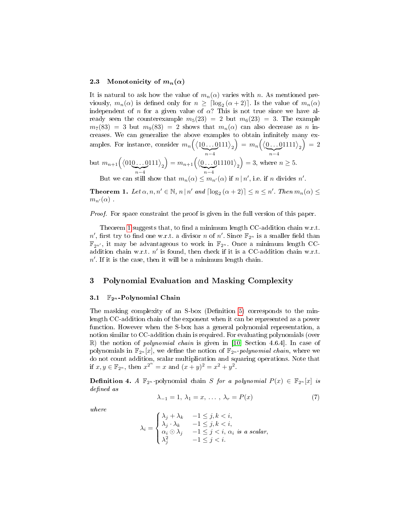#### 2.3 Monotonicity of  $m_n(\alpha)$

It is natural to ask how the value of  $m_n(\alpha)$  varies with n. As mentioned previously,  $m_n(\alpha)$  is defined only for  $n \geq \lceil \log_2(\alpha + 2) \rceil$ . Is the value of  $m_n(\alpha)$ independent of n for a given value of  $\alpha$ ? This is not true since we have already seen the counterexample  $m_5(23) = 2$  but  $m_6(23) = 3$ . The example  $m_7(83) = 3$  but  $m_9(83) = 2$  shows that  $m_n(\alpha)$  can also decrease as n increases. We can generalize the above examples to obtain infinitely many examples. For instance, consider  $m_n\Big(\big\langle 10\ldots0\big\rangle$  $\sum_{n-4}$  $\ket{111}_2 \bigg) \, = \, m_n \Big( \big\langle \underline{0 \dots 0} \big\rangle$  $\sum_{n-4}$  $\ket{1111}_2\big)=2$ 

but 
$$
m_{n+1}(\langle 010...0111 \rangle_2) = m_{n+1}(\langle 0...011101 \rangle_2) = 3
$$
, where  $n \ge 5$ .

<span id="page-7-0"></span>But we can still show that  $m_n(\alpha) \leq m_{n'}(\alpha)$  if  $n \mid n'$ , i.e. if n divides n'.

**Theorem 1.** Let  $\alpha, n, n' \in \mathbb{N}$ ,  $n | n'$  and  $\lceil \log_2(\alpha + 2) \rceil \le n \le n'$ . Then  $m_n(\alpha) \le$  $m_{n'}(\alpha)$ .

Proof. For space constraint the proof is given in the full version of this paper.

Theorem [1](#page-7-0) suggests that, to find a minimum length  $CC$ -addition chain w.r.t.  $n'$ , first try to find one w.r.t. a divisor n of n'. Since  $\mathbb{F}_{2^n}$  is a smaller field than  $\mathbb{F}_{2n'}$ , it may be advantageous to work in  $\mathbb{F}_{2n}$ . Once a minimum length CCaddition chain w.r.t.  $n'$  is found, then check if it is a CC-addition chain w.r.t.  $n'$ . If it is the case, then it will be a minimum length chain.

### 3 Polynomial Evaluation and Masking Complexity

#### 3.1  $\mathbb{F}_{2^n}$ -Polynomial Chain

The masking complexity of an S-box (Definition [5\)](#page-8-0) corresponds to the minlength CC-addition chain of the exponent when it can be represented as a power function. However when the S-box has a general polynomial representation, a notion similar to CC-addition chain is required. For evaluating polynomials (over  $\mathbb{R}$ ) the notion of *polynomial chain* is given in [\[10,](#page-14-8) Section 4.6.4]. In case of polynomials in  $\mathbb{F}_{2^n}[x]$ , we define the notion of  $\mathbb{F}_{2^n}$ -polynomial chain, where we do not count addition, scalar multiplication and squaring operations. Note that if  $x, y \in \mathbb{F}_{2^n}$ , then  $x^{2^n} = x$  and  $(x + y)^2 = x^2 + y^2$ .

**Definition 4.** A  $\mathbb{F}_{2^n}$ -polynomial chain S for a polynomial  $P(x) \in \mathbb{F}_{2^n}[x]$  is defined as

$$
\lambda_{-1} = 1, \lambda_1 = x, \dots, \lambda_r = P(x) \tag{7}
$$

where

$$
\lambda_i = \begin{cases}\n\lambda_j + \lambda_k & -1 \leq j, k < i, \\
\lambda_j \cdot \lambda_k & -1 \leq j, k < i, \\
\alpha_i \odot \lambda_j & -1 \leq j < i, \ \alpha_i \ \text{is a scalar}, \\
\lambda_j^2 & -1 \leq j < i.\n\end{cases}
$$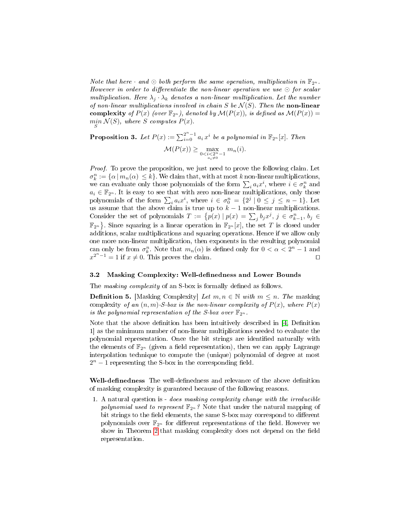Note that here  $\cdot$  and  $\odot$  both perform the same operation, multiplication in  $\mathbb{F}_{2^n}$ . However in order to differentiate the non-linear operation we use  $\odot$  for scalar multiplication. Here  $\lambda_i \cdot \lambda_k$  denotes a non-linear multiplication. Let the number of non-linear multiplications involved in chain S be  $\mathcal{N}(S)$ . Then the non-linear complexity of  $P(x)$  (over  $\mathbb{F}_{2^n}$ ), denoted by  $\mathcal{M}(P(x))$ , is defined as  $\mathcal{M}(P(x)) =$  $\min_{S} \mathcal{N}(S)$ , where S computes  $P(x)$ .

<span id="page-8-1"></span>**Proposition 3.** Let  $P(x) := \sum_{i=0}^{2^n-1} a_i x^i$  be a polynomial in  $\mathbb{F}_{2^n}[x]$ . Then

<span id="page-8-0"></span>
$$
\mathcal{M}(P(x)) \ge \max_{\substack{0 < i < 2^n - 1 \\ a_i \neq 0}} m_n(i).
$$

Proof. To prove the proposition, we just need to prove the following claim. Let  $\sigma_k^n := {\alpha | m_n(\alpha) \leq k}.$  We claim that, with at most k non-linear multiplications, we can evaluate only those polynomials of the form  $\sum_i a_i x^i$ , where  $i \in \sigma_k^n$  and  $a_i \in \mathbb{F}_{2^n}$ . It is easy to see that with zero non-linear multiplications, only those polynomials of the form  $\sum_i a_i x^i$ , where  $i \in \sigma_0^n = \{2^j \mid 0 \le j \le n-1\}$ . Let us assume that the above claim is true up to  $k-1$  non-linear multiplications. Consider the set of polynomials  $T := \{p(x) | p(x) = \sum_j b_j x^j, j \in \sigma_{k-1}^n, b_j \in$  $\mathbb{F}_{2^n}$ . Since squaring is a linear operation in  $\mathbb{F}_{2^n}[x]$ , the set T is closed under additions, scalar multiplications and squaring operations. Hence if we allow only one more non-linear multiplication, then exponents in the resulting polynomial can only be from  $\sigma_k^n$ . Note that  $m_n(\alpha)$  is defined only for  $0 < \alpha < 2^n - 1$  and  $x^{2^n-1} = 1$  if  $x \neq 0$ . This proves the claim.

### 3.2 Masking Complexity: Well-definedness and Lower Bounds

The *masking complexity* of an S-box is formally defined as follows.

**Definition 5.** [Masking Complexity] Let  $m, n \in \mathbb{N}$  with  $m \leq n$ . The masking complexity of an  $(n, m)$ . S box is the non-linear complexity of  $P(x)$ , where  $P(x)$ is the polynomial representation of the S-box over  $\mathbb{F}_{2^n}$ .

Note that the above definition has been intuitively described in  $[4,$  Definition 1] as the minimum number of non-linear multiplications needed to evaluate the polynomial representation. Once the bit strings are identied naturally with the elements of  $\mathbb{F}_{2^n}$  (given a field representation), then we can apply Lagrange interpolation technique to compute the (unique) polynomial of degree at most  $2^n - 1$  representing the S-box in the corresponding field.

Well-definedness The well-definedness and relevance of the above definition of masking complexity is guranteed because of the following reasons.

1. A natural question is - does masking complexity change with the irreducible polynomial used to represent  $\mathbb{F}_{2^n}$ ? Note that under the natural mapping of bit strings to the field elements, the same S-box may correspond to different polynomials over  $\mathbb{F}_{2^n}$  for different representations of the field. However we show in Theorem [2](#page-9-0) that masking complexity does not depend on the field representation.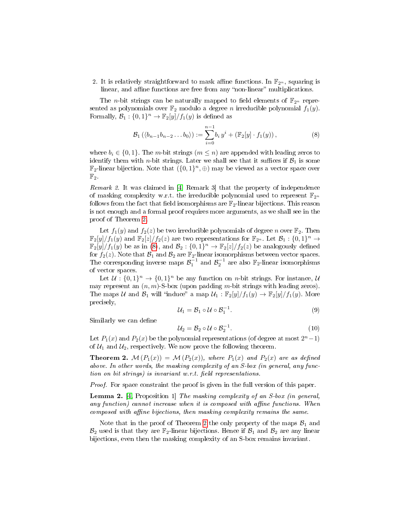2. It is relatively straightforward to mask affine functions. In  $\mathbb{F}_{2^n}$ , squaring is linear, and affine functions are free from any "non-linear" multiplications.

The *n*-bit strings can be naturally mapped to field elements of  $\mathbb{F}_{2^n}$  represented as polynomials over  $\mathbb{F}_2$  modulo a degree *n* irreducible polynomial  $f_1(y)$ . Formally,  $\mathcal{B}_1: \{0,1\}^n \to \mathbb{F}_2[y]/f_1(y)$  is defined as

<span id="page-9-1"></span>
$$
\mathcal{B}_1(\langle b_{n-1}b_{n-2}\dots b_0 \rangle) := \sum_{i=0}^{n-1} b_i y^i + (\mathbb{F}_2[y] \cdot f_1(y)), \tag{8}
$$

where  $b_i \in \{0, 1\}$ . The *m*-bit strings  $(m \leq n)$  are appended with leading zeros to identify them with *n*-bit strings. Later we shall see that it suffices if  $\mathcal{B}_1$  is some  $\mathbb{F}_2$ -linear bijection. Note that  $\overline{(\{0,1\}^n, \oplus)}$  may be viewed as a vector space over  $\mathbb{F}_2$ .

Remark 2. It was claimed in [\[4,](#page-14-2) Remark 3] that the property of independence of masking complexity w.r.t. the irreducible polynomial used to represent  $\mathbb{F}_{2^n}$ follows from the fact that field isomorphisms are  $\mathbb{F}_2$ -linear bijections. This reason is not enough and a formal proof requires more arguments, as we shall see in the proof of Theorem [2.](#page-9-0)

Let  $f_1(y)$  and  $f_2(z)$  be two irreducible polynomials of degree n over  $\mathbb{F}_2$ . Then  $\mathbb{F}_2[y]/f_1(y)$  and  $\mathbb{F}_2[z]/f_2(z)$  are two representations for  $\mathbb{F}_{2^n}$ . Let  $\mathcal{B}_1:\{0,1\}^n\to$  $\mathbb{F}_2[y]/f_1(y)$  be as in [\(8\)](#page-9-1), and  $\mathcal{B}_2:\{0,1\}^n \to \mathbb{F}_2[z]/f_2(z)$  be analogously defined for  $f_2(z)$ . Note that  $\mathcal{B}_1$  and  $\mathcal{B}_2$  are  $\mathbb{F}_2$ -linear isomorphisms between vector spaces. The corresponding inverse maps  $\mathcal{B}_1^{-1}$  and  $\mathcal{B}_2^{-1}$  are also  $\mathbb{F}_2$ -linear isomorphisms of vector spaces.

Let  $\mathcal{U}: \{0,1\}^n \to \{0,1\}^n$  be any function on *n*-bit strings. For instance,  $\mathcal{U}$ may represent an  $(n, m)$ -S-box (upon padding m-bit strings with leading zeros). The maps U and  $\mathcal{B}_1$  will "induce" a map  $\mathcal{U}_1 : \mathbb{F}_2[y]/f_1(y) \to \mathbb{F}_2[y]/f_1(y)$ . More precisely,

$$
\mathcal{U}_1 = \mathcal{B}_1 \circ \mathcal{U} \circ \mathcal{B}_1^{-1}.\tag{9}
$$

Similarly we can define

$$
\mathcal{U}_2 = \mathcal{B}_2 \circ \mathcal{U} \circ \mathcal{B}_2^{-1}.\tag{10}
$$

Let  $P_1(x)$  and  $P_2(x)$  be the polynomial representations (of degree at most  $2^n-1$ ) of  $U_1$  and  $U_2$ , respectively. We now prove the following theorem.

<span id="page-9-0"></span>**Theorem 2.**  $\mathcal{M}(P_1(x)) = \mathcal{M}(P_2(x))$ , where  $P_1(x)$  and  $P_2(x)$  are as defined above. In other words, the masking complexity of an S-box (in general, any function on bit strings) is invariant w.r.t. field representations.

Proof. For space constraint the proof is given in the full version of this paper.

<span id="page-9-2"></span>Lemma 2. [\[4,](#page-14-2) Proposition 1] The masking complexity of an S-box (in general, any function) cannot increase when it is composed with affine functions. When composed with affine bijections, then masking complexity remains the same.

Note that in the proof of Theorem [2](#page-9-0) the only property of the maps  $\mathcal{B}_1$  and  $\mathcal{B}_2$  used is that they are  $\mathbb{F}_2$ -linear bijections. Hence if  $\mathcal{B}_1$  and  $\mathcal{B}_2$  are any linear bijections, even then the masking complexity of an S-box remains invariant.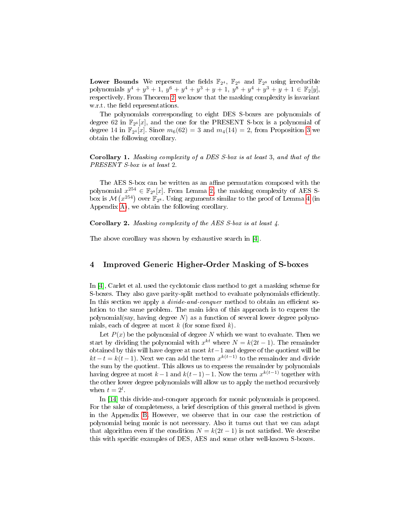**Lower Bounds** We represent the fields  $\mathbb{F}_{2^4}$ ,  $\mathbb{F}_{2^6}$  and  $\mathbb{F}_{2^8}$  using irreducible polynomials  $y^4 + y^3 + 1$ ,  $y^6 + y^4 + y^3 + y + 1$ ,  $y^8 + y^4 + y^3 + y + 1 \in \mathbb{F}_2[y]$ , respectively. From Theorem [2,](#page-9-0) we know that the masking complexity is invariant w.r.t. the field representations.

The polynomials corresponding to eight DES S-boxes are polynomials of degree 62 in  $\mathbb{F}_{2^6}[x]$ , and the one for the PRESENT S-box is a polynomial of degree 14 in  $\mathbb{F}_{2^4}[x]$ . Since  $m_6(62) = 3$  $m_6(62) = 3$  and  $m_4(14) = 2$ , from Proposition 3 we obtain the following corollary.

Corollary 1. Masking complexity of a DES S-box is at least 3, and that of the PRESENT S-box is at least 2.

The AES S-box can be written as an affine permutation composed with the polynomial  $x^{254} \in \mathbb{F}_{2^8}[x]$ . From Lemma [2,](#page-9-2) the masking complexity of AES Sbox is  $\mathcal{M}\left(x^{254}\right)$  over  $\mathbb{F}_{2^8}$ . Using arguments similar to the proof of Lemma [4](#page-16-0) (in Appendix [A\)](#page-15-9), we obtain the following corollary.

Corollary 2. Masking complexity of the AES S-box is at least 4.

The above corollary was shown by exhaustive search in [\[4\]](#page-14-2).

### <span id="page-10-0"></span>4 Improved Generic Higher-Order Masking of S-boxes

In [\[4\]](#page-14-2), Carlet et al. used the cyclotomic class method to get a masking scheme for S-boxes. They also gave parity-split method to evaluate polynomials efficiently. In this section we apply a *divide-and-conquer* method to obtain an efficient solution to the same problem. The main idea of this approach is to express the polynomial(say, having degree  $N$ ) as a function of several lower degree polynomials, each of degree at most  $k$  (for some fixed  $k$ ).

Let  $P(x)$  be the polynomial of degree N which we want to evaluate. Then we start by dividing the polynomial with  $x^{kt}$  where  $N = k(2t - 1)$ . The remainder obtained by this will have degree at most kt−1 and degree of the quotient will be  $kt - t = k(t - 1)$ . Next we can add the term  $x^{k(t-1)}$  to the remainder and divide the sum by the quotient. This allows us to express the remainder by polynomials having degree at most  $k-1$  and  $k(t-1)-1$ . Now the term  $x^{k(t-1)}$  together with the other lower degree polynomials will allow us to apply the method recursively when  $t = 2^l$ .

In [\[14\]](#page-15-10) this divide-and-conquer approach for monic polynomials is proposed. For the sake of completeness, a brief description of this general method is given in the Appendix [B.](#page-17-0) However, we observe that in our case the restriction of polynomial being monic is not necessary. Also it turns out that we can adapt that algorithm even if the condition  $N = k(2t - 1)$  is not satisfied. We describe this with specific examples of DES, AES and some other well-known S-boxes.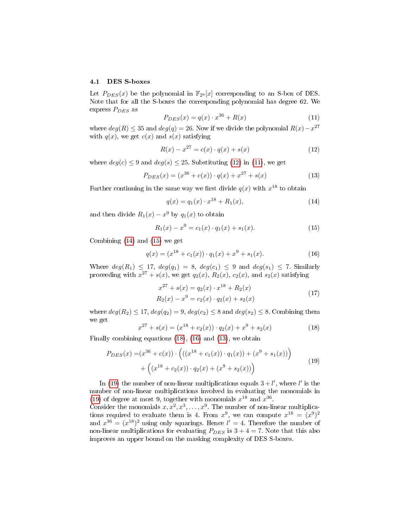#### 4.1 DES S-boxes

Let  $P_{DES}(x)$  be the polynomial in  $\mathbb{F}_{2^6}[x]$  corresponding to an S-box of DES. Note that for all the S-boxes the corresponding polynomial has degree 62. We express  $P_{DES}$  as

<span id="page-11-1"></span>
$$
P_{DES}(x) = q(x) \cdot x^{36} + R(x)
$$
\n(11)

where  $deg(R) \leq 35$  and  $deg(q) = 26$ . Now if we divide the polynomial  $R(x) - x^{27}$ with  $q(x)$ , we get  $c(x)$  and  $s(x)$  satisfying

<span id="page-11-0"></span>
$$
R(x) - x^{27} = c(x) \cdot q(x) + s(x)
$$
 (12)

where  $deg(c) \leq 9$  and  $deg(s) \leq 25$ . Substituting [\(12\)](#page-11-0) in [\(11\)](#page-11-1), we get

<span id="page-11-6"></span>
$$
P_{DES}(x) = (x^{36} + c(x)) \cdot q(x) + x^{27} + s(x)
$$
\n(13)

Further continuing in the same way we first divide  $q(x)$  with  $x^{18}$  to obtain

<span id="page-11-2"></span>
$$
q(x) = q_1(x) \cdot x^{18} + R_1(x), \tag{14}
$$

and then divide  $R_1(x) - x^9$  by  $q_1(x)$  to obtain

<span id="page-11-3"></span>
$$
R_1(x) - x^9 = c_1(x) \cdot q_1(x) + s_1(x). \tag{15}
$$

Combining [\(14\)](#page-11-2) and [\(15\)](#page-11-3) we get

<span id="page-11-5"></span>
$$
q(x) = (x^{18} + c_1(x)) \cdot q_1(x) + x^9 + s_1(x). \tag{16}
$$

Where  $deg(R_1) \leq 17$ ,  $deg(q_1) = 8$ ,  $deg(c_1) \leq 9$  and  $deg(s_1) \leq 7$ . Similarly proceeding with  $x^{27} + s(x)$ , we get  $q_2(x)$ ,  $R_2(x)$ ,  $c_2(x)$ , and  $s_2(x)$  satisfying

$$
x^{27} + s(x) = q_2(x) \cdot x^{18} + R_2(x)
$$
  
\n
$$
R_2(x) - x^9 = c_2(x) \cdot q_2(x) + s_2(x)
$$
\n(17)

where  $deg(R_2) \leq 17$ ,  $deg(q_2) = 9$ ,  $deg(c_2) \leq 8$  and  $deg(s_2) \leq 8$ . Combining them we get

<span id="page-11-4"></span>
$$
x^{27} + s(x) = (x^{18} + c_2(x)) \cdot q_2(x) + x^9 + s_2(x)
$$
 (18)

Finally combining equations [\(18\)](#page-11-4), [\(16\)](#page-11-5) and [\(13\)](#page-11-6), we obtain

<span id="page-11-7"></span>
$$
P_{DES}(x) = (x^{36} + c(x)) \cdot \left( ((x^{18} + c_1(x)) \cdot q_1(x)) + (x^9 + s_1(x)) \right) + \left( (x^{18} + c_2(x)) \cdot q_2(x) + (x^9 + s_2(x)) \right)
$$
(19)

In [\(19\)](#page-11-7) the number of non-linear multiplications equals  $3 + l'$ , where l' is the number of non-linear multiplications involved in evaluating the monomials in [\(19\)](#page-11-7) of degree at most 9, together with monomials  $x^{18}$  and  $x^{36}$ .

Consider the monomials  $x, x^2, x^3, \ldots, x^9$ . The number of non-linear multiplications required to evaluate them is 4. From  $x^9$ , we can compute  $x^{18} = (x^9)^2$ and  $x^{36} = (x^{18})^2$  using only squarings. Hence  $l' = 4$ . Therefore the number of non-linear multiplications for evaluating  $P_{DES}$  is  $3 + 4 = 7$ . Note that this also improves an upper bound on the masking complexity of DES S-boxes.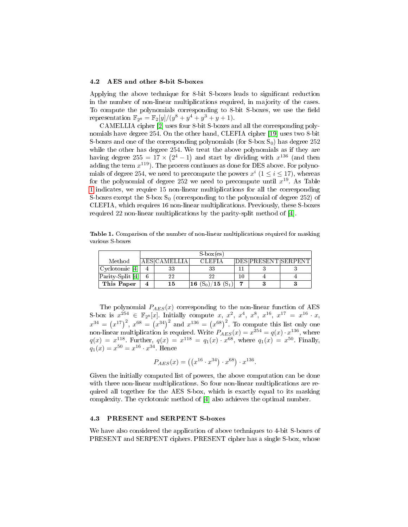#### 4.2 AES and other 8-bit S-boxes

Applying the above technique for 8-bit S-boxes leads to signicant reduction in the number of non-linear multiplications required, in majority of the cases. To compute the polynomials corresponding to 8-bit S-boxes, we use the field representation  $\mathbb{F}_{2^8} = \mathbb{F}_2[y]/(y^8 + y^4 + y^3 + y + 1)$ .

CAMELLIA cipher [\[2\]](#page-14-10) uses four 8-bit S-boxes and all the corresponding polynomials have degree 254. On the other hand, CLEFIA cipher [\[19\]](#page-15-11) uses two 8-bit S-boxes and one of the corresponding polynomials (for  $S$ -box  $S_0$ ) has degree 252 while the other has degree 254. We treat the above polynomials as if they are having degree 255 = 17  $\times$  (2<sup>4</sup> - 1) and start by dividing with  $x^{136}$  (and then adding the term  $x^{119}$ ). The process continues as done for DES above. For polynomials of degree 254, we need to precompute the powers  $x^i$   $(1 \le i \le 17)$ , whereas for the polynomial of degree 252 we need to precompute until  $x^{19}$ . As Table [1](#page-12-0) indicates, we require 15 non-linear multiplications for all the corresponding S-boxes except the S-box  $S_0$  (corresponding to the polynomial of degree 252) of CLEFIA, which requires 16 non-linear multiplications. Previously, these S-boxes required 22 non-linear multiplications by the parity-split method of [\[4\]](#page-14-2).

<span id="page-12-0"></span>Table 1. Comparison of the number of non-linear multiplications required for masking various S-boxes

|                  | $S-box(es)$ |               |                       |    |                     |  |
|------------------|-------------|---------------|-----------------------|----|---------------------|--|
| Method           |             | 'AES CAMELLIA | CLEFIA -              |    | DES PRESENT SERPENT |  |
| Cyclotomic [4]   |             | 33            | 33                    |    |                     |  |
| Parity-Split [4] |             | 22            | 22                    | 10 |                     |  |
| This Paper       |             | 15            | 16 $(S_0)/15$ $(S_1)$ |    |                     |  |

The polynomial  $P_{AES}(x)$  corresponding to the non-linear function of AES S-box is  $x^{254} \in \mathbb{F}_{2^8}[x]$ . Initially compute x,  $x^2$ ,  $x^4$ ,  $x^8$ ,  $x^{16}$ ,  $x^{17} = x^{16} \cdot x$ ,  $x^{34} = (x^{17})^2$ ,  $x^{68} = (x^{34})^2$  and  $x^{136} = (x^{68})^2$ . To compute this list only one non-linear multiplication is required. Write  $P_{AES}(x) = x^{254} = q(x) \cdot x^{136}$ , where  $q(x) = x^{118}$ . Further,  $q(x) = x^{118} = q_1(x) \cdot x^{68}$ , where  $q_1(x) = x^{50}$ . Finally,  $q_1(x) = x^{50} = x^{16} \cdot x^{34}$ . Hence

$$
P_{AES}(x) = ((x^{16} \cdot x^{34}) \cdot x^{68}) \cdot x^{136}.
$$

Given the initially computed list of powers, the above computation can be done with three non-linear multiplications. So four non-linear multiplications are required all together for the AES S-box, which is exactly equal to its masking complexity. The cyclotomic method of [\[4\]](#page-14-2) also achieves the optimal number.

#### 4.3 PRESENT and SERPENT S-boxes

We have also considered the application of above techniques to 4-bit S-boxes of PRESENT and SERPENT ciphers. PRESENT cipher has a single S-box, whose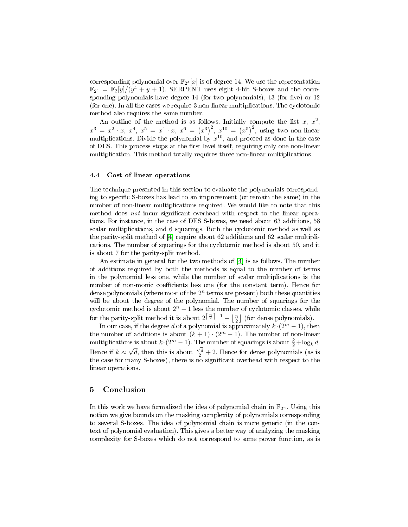corresponding polynomial over  $\mathbb{F}_{2^4}[x]$  is of degree 14. We use the representation  $\mathbb{F}_{2^4} = \mathbb{F}_2[y]/(y^4 + y + 1)$ . SERPENT uses eight 4-bit S-boxes and the corresponding polynomials have degree  $14$  (for two polynomials),  $13$  (for five) or  $12$ (for one). In all the cases we require 3 non-linear multiplications. The cyclotomic method also requires the same number.

An outline of the method is as follows. Initially compute the list x,  $x^2$ ,  $x^3 = x^2 \cdot x, \; x^4, \; x^5 = x^4 \cdot x, \; x^6 = (x^3)^2, \; x^{10} = (x^5)^2, \; \text{using two non-linear}$ multiplications. Divide the polynomial by  $x^{10}$ , and proceed as done in the case of DES. This process stops at the first level itself, requiring only one non-linear multiplication. This method totally requires three non-linear multiplications.

#### 4.4 Cost of linear operations

The technique presented in this section to evaluate the polynomials corresponding to specific S-boxes has lead to an improvement (or remain the same) in the number of non-linear multiplications required. We would like to note that this method does not incur significant overhead with respect to the linear operations. For instance, in the case of DES S-boxes, we need about 63 additions, 58 scalar multiplications, and 6 squarings. Both the cyclotomic method as well as the parity-split method of [\[4\]](#page-14-2) require about 62 additions and 62 scalar multiplications. The number of squarings for the cyclotomic method is about 50, and it is about 7 for the parity-split method.

An estimate in general for the two methods of [\[4\]](#page-14-2) is as follows. The number of additions required by both the methods is equal to the number of terms in the polynomial less one, while the number of scalar multiplications is the number of non-monic coefficients less one (for the constant term). Hence for dense polynomials (where most of the  $2^n$  terms are present) both these quantities will be about the degree of the polynomial. The number of squarings for the cyclotomic method is about  $2^n - 1$  less the number of cyclotomic classes, while for the parity-split method it is about  $2^{\lceil \frac{n}{2} \rceil - 1} + \lfloor \frac{n}{2} \rfloor$  (for dense polynomials).

In our case, if the degree d of a polynomial is approximately  $k \cdot (2^m - 1)$ , then the number of additions is about  $(k+1) \cdot (2^m - 1)$ . The number of non-linear multiplications is about  $k \cdot (2^m - 1)$ . The number of squarings is about  $\frac{k}{2} + \log_k d$ . Hence if  $k \approx \sqrt{d}$ , then this is about  $\frac{\sqrt{d}}{2} + 2$ . Hence for dense polynomials (as is the case for many S-boxes), there is no significant overhead with respect to the linear operations.

### 5 Conclusion

In this work we have formalized the idea of polynomial chain in  $\mathbb{F}_{2^n}$ . Using this notion we give bounds on the masking complexity of polynomials corresponding to several S-boxes. The idea of polynomial chain is more generic (in the context of polynomial evaluation). This gives a better way of analyzing the masking complexity for S-boxes which do not correspond to some power function, as is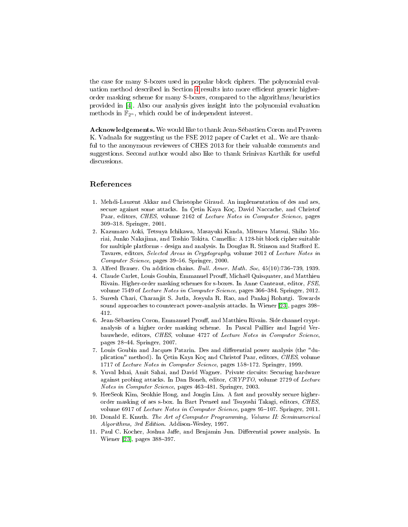the case for many S-boxes used in popular block ciphers. The polynomial eval-uation method described in Section [4](#page-10-0) results into more efficient generic higherorder masking scheme for many S-boxes, compared to the algorithms/heuristics provided in [\[4\]](#page-14-2). Also our analysis gives insight into the polynomial evaluation methods in  $\mathbb{F}_{2^n}$ , which could be of independent interest.

Acknowledgements. We would like to thank Jean-Sébastien Coron and Praveen K. Vadnala for suggesting us the FSE 2012 paper of Carlet et al.. We are thankful to the anonymous reviewers of CHES 2013 for their valuable comments and suggestions. Second author would also like to thank Srinivas Karthik for useful discussions.

### References

- <span id="page-14-4"></span>1. Mehdi-Laurent Akkar and Christophe Giraud. An implementation of des and aes, secure against some attacks. In Çetin Kaya Koç, David Naccache, and Christof Paar, editors, CHES, volume 2162 of Lecture Notes in Computer Science, pages 309318. Springer, 2001.
- <span id="page-14-10"></span>2. Kazumaro Aoki, Tetsuya Ichikawa, Masayuki Kanda, Mitsuru Matsui, Shiho Moriai, Junko Nakajima, and Toshio Tokita. Camellia: A 128-bit block cipher suitable for multiple platforms - design and analysis. In Douglas R. Stinson and Stafford E. Tavares, editors, Selected Areas in Cryptography, volume 2012 of Lecture Notes in Computer Science, pages 39-56. Springer, 2000.
- <span id="page-14-9"></span>3. Alfred Brauer. On addition chains. *Bull. Amer. Math. Soc*, 45(10):736-739, 1939.
- <span id="page-14-2"></span>4. Claude Carlet, Louis Goubin, Emmanuel Prouff, Michaël Quisquater, and Matthieu Rivain. Higher-order masking schemes for s-boxes. In Anne Canteaut, editor, FSE, volume 7549 of Lecture Notes in Computer Science, pages 366-384. Springer, 2012.
- <span id="page-14-3"></span>5. Suresh Chari, Charanjit S. Jutla, Josyula R. Rao, and Pankaj Rohatgi. Towards sound approaches to counteract power-analysis attacks. In Wiener [\[23\]](#page-15-12), pages 398 412.
- <span id="page-14-5"></span>6. Jean-Sébastien Coron, Emmanuel Prouff, and Matthieu Rivain. Side channel cryptanalysis of a higher order masking scheme. In Pascal Paillier and Ingrid Verbauwhede, editors, CHES, volume 4727 of Lecture Notes in Computer Science. pages 2844. Springer, 2007.
- <span id="page-14-1"></span>7. Louis Goubin and Jacques Patarin. Des and dierential power analysis (the "duplication" method). In Çetin Kaya Koç and Christof Paar, editors, CHES, volume 1717 of Lecture Notes in Computer Science, pages 158-172. Springer, 1999.
- <span id="page-14-6"></span>8. Yuval Ishai, Amit Sahai, and David Wagner. Private circuits: Securing hardware against probing attacks. In Dan Boneh, editor, CRYPTO, volume 2729 of Lecture Notes in Computer Science, pages 463-481. Springer, 2003.
- <span id="page-14-7"></span>9. HeeSeok Kim, Seokhie Hong, and Jongin Lim. A fast and provably secure higherorder masking of aes s-box. In Bart Preneel and Tsuyoshi Takagi, editors, CHES, volume 6917 of Lecture Notes in Computer Science, pages 95-107. Springer, 2011.
- <span id="page-14-8"></span>10. Donald E. Knuth. The Art of Computer Programming, Volume II: Seminumerical Algorithms, 3rd Edition. Addison-Wesley, 1997.
- <span id="page-14-0"></span>11. Paul C. Kocher, Joshua Jaffe, and Benjamin Jun. Differential power analysis. In Wiener [\[23\]](#page-15-12), pages 388-397.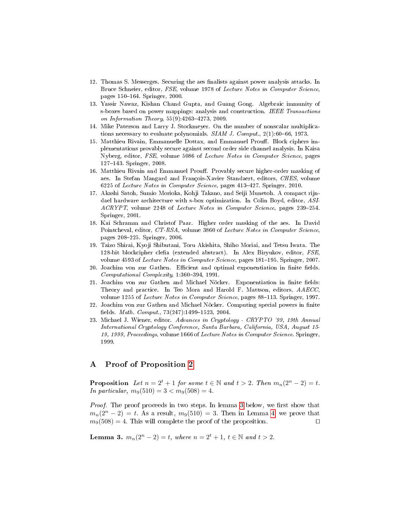- <span id="page-15-1"></span>12. Thomas S. Messerges. Securing the aes finalists against power analysis attacks. In Bruce Schneier, editor, FSE, volume 1978 of Lecture Notes in Computer Science, pages  $150-164$ . Springer, 2000.
- <span id="page-15-5"></span>13. Yassir Nawaz, Kishan Chand Gupta, and Guang Gong. Algebraic immunity of s-boxes based on power mappings: analysis and construction. IEEE Transactions on Information Theory,  $55(9)$ :  $4263-4273$ ,  $2009$ .
- <span id="page-15-10"></span>14. Mike Paterson and Larry J. Stockmeyer. On the number of nonscalar multiplications necessary to evaluate polynomials.  $SIAM J. Comput.$  2(1):60-66, 1973.
- <span id="page-15-2"></span>15. Matthieu Rivain, Emmanuelle Dottax, and Emmanuel Prouff. Block ciphers implementations provably secure against second order side channel analysis. In Kaisa Nyberg, editor, FSE, volume 5086 of Lecture Notes in Computer Science, pages 127-143. Springer, 2008.
- <span id="page-15-3"></span>16. Matthieu Rivain and Emmanuel Prouff. Provably secure higher-order masking of aes. In Stefan Mangard and François-Xavier Standaert, editors, CHES, volume 6225 of Lecture Notes in Computer Science, pages 413-427. Springer, 2010.
- <span id="page-15-4"></span>17. Akashi Satoh, Sumio Morioka, Kohji Takano, and Seiji Munetoh. A compact rijndael hardware architecture with s-box optimization. In Colin Boyd, editor, ASI-ACRYPT, volume 2248 of Lecture Notes in Computer Science, pages 239-254. Springer, 2001.
- <span id="page-15-0"></span>18. Kai Schramm and Christof Paar. Higher order masking of the aes. In David Pointcheval, editor, CT-RSA, volume 3860 of Lecture Notes in Computer Science. pages 208-225. Springer, 2006.
- <span id="page-15-11"></span>19. Taizo Shirai, Kyoji Shibutani, Toru Akishita, Shiho Moriai, and Tetsu Iwata. The 128-bit blockcipher clefia (extended abstract). In Alex Biryukov, editor, FSE. volume 4593 of Lecture Notes in Computer Science, pages 181–195. Springer, 2007.
- <span id="page-15-7"></span>20. Joachim von zur Gathen. Efficient and optimal exponentiation in finite fields.  $Computational\ Complexity, 1:360-394, 1991.$
- <span id="page-15-6"></span>21. Joachim von zur Gathen and Michael Nöcker. Exponentiation in finite fields: Theory and practice. In Teo Mora and Harold F. Mattson, editors, AAECC, volume 1255 of Lecture Notes in Computer Science, pages 88-113. Springer, 1997.
- <span id="page-15-8"></span>22. Joachim von zur Gathen and Michael Nöcker. Computing special powers in finite fields. *Math. Comput.*,  $73(247):1499-1523$ ,  $2004$ .
- <span id="page-15-12"></span>23. Michael J. Wiener, editor. Advances in Cryptology - CRYPTO '99, 19th Annual International Cryptology Conference, Santa Barbara, California, USA, August 15- 19, 1999, Proceedings, volume 1666 of Lecture Notes in Computer Science. Springer, 1999.

### <span id="page-15-9"></span>A Proof of Proposition [2](#page-6-1)

**Proposition** Let  $n = 2^t + 1$  for some  $t \in \mathbb{N}$  and  $t > 2$ . Then  $m_n(2^n - 2) = t$ . In particular,  $m_9(510) = 3 < m_9(508) = 4$ .

Proof. The proof proceeds in two steps. In lemma [3](#page-15-13) below, we first show that  $m_n(2^n-2) = t$ . As a result,  $m_9(510) = 3$ . Then in Lemma [4,](#page-16-0) we prove that  $m_9(508) = 4$ . This will complete the proof of the proposition.

<span id="page-15-13"></span>**Lemma 3.**  $m_n(2^n - 2) = t$ , where  $n = 2^t + 1$ ,  $t \in \mathbb{N}$  and  $t > 2$ .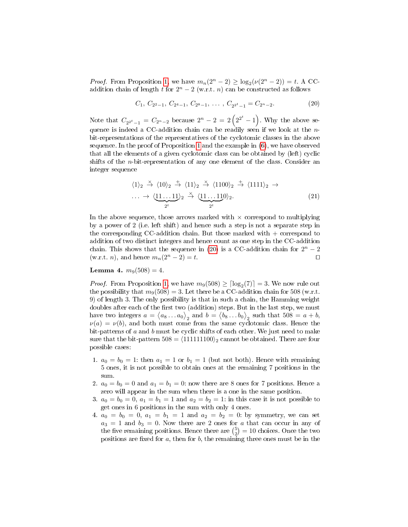*Proof.* From Proposition [1,](#page-6-2) we have  $m_n(2^n - 2) \ge \log_2(\nu(2^n - 2)) = t$ . A CCaddition chain of length t for  $2^n - 2$  (w.r.t. n) can be constructed as follows

<span id="page-16-1"></span>
$$
C_1, C_{2^2-1}, C_{2^4-1}, C_{2^8-1}, \ldots, C_{2^{2^t}-1} = C_{2^n-2}.
$$
 (20)

Note that  $C_{2^{2^t}-1} = C_{2^n-2}$  because  $2^n - 2 = 2(2^{2^t}-1)$ . Why the above sequence is indeed a CC-addition chain can be readily seen if we look at the  $n$ bit-representations of the representatives of the cyclotomic classes in the above sequence. In the proof of Proposition [1](#page-6-2) and the example in [\(6\)](#page-6-3), we have observed that all the elements of a given cyclotomic class can be obtained by (left) cyclic shifts of the  $n$ -bit-representation of any one element of the class. Consider an integer sequence

$$
\langle 1 \rangle_2 \stackrel{\times}{\rightarrow} \langle 10 \rangle_2 \stackrel{+}{\rightarrow} \langle 11 \rangle_2 \stackrel{\times}{\rightarrow} \langle 1100 \rangle_2 \stackrel{+}{\rightarrow} \langle 1111 \rangle_2 \rightarrow \cdots \rightarrow \langle \underbrace{11 \dots 11}_{2^t} \rangle_2 \stackrel{\times}{\rightarrow} \langle \underbrace{11 \dots 11}_{2^t} 0 \rangle_2.
$$
 (21)

In the above sequence, those arrows marked with  $\times$  correspond to multiplying by a power of 2 (i.e. left shift) and hence such a step is not a separate step in the corresponding CC-addition chain. But those marked with  $+$  correspond to addition of two distinct integers and hence count as one step in the CC-addition chain. This shows that the sequence in [\(20\)](#page-16-1) is a CC-addition chain for  $2^n - 2$ (w.r.t. *n*), and hence  $m_n(2^n - 2) = t$ .

### <span id="page-16-0"></span>**Lemma 4.**  $m_9(508) = 4$ .

*Proof.* From Proposition [1,](#page-6-2) we have  $m_9(508) \geq \lceil \log_2(7) \rceil = 3$ . We now rule out the possibility that  $m_9(508) = 3$ . Let there be a CC-addition chain for 508 (w.r.t. 9) of length 3. The only possibility is that in such a chain, the Hamming weight doubles after each of the first two (addition) steps. But in the last step, we must have two integers  $a = \langle a_8 \dots a_0 \rangle_2$  and  $b = \langle b_8 \dots b_0 \rangle_2$  such that  $508 = a + b$ ,  $\nu(a) = \nu(b)$ , and both must come from the same cyclotomic class. Hence the bit-patterns of  $a$  and  $b$  must be cyclic shifts of each other. We just need to make sure that the bit-pattern  $508 = \langle 111111100 \rangle_2$  cannot be obtained. There are four possible cases:

- 1.  $a_0 = b_0 = 1$ : then  $a_1 = 1$  or  $b_1 = 1$  (but not both). Hence with remaining 5 ones, it is not possible to obtain ones at the remaining 7 positions in the sum.
- 2.  $a_0 = b_0 = 0$  and  $a_1 = b_1 = 0$ : now there are 8 ones for 7 positions. Hence a zero will appear in the sum when there is a one in the same position.
- 3.  $a_0 = b_0 = 0, a_1 = b_1 = 1$  and  $a_2 = b_2 = 1$ : in this case it is not possible to get ones in 6 positions in the sum with only 4 ones.
- 4.  $a_0 = b_0 = 0, a_1 = b_1 = 1$  and  $a_2 = b_2 = 0$ : by symmetry, we can set  $a_3 = 1$  and  $b_3 = 0$ . Now there are 2 ones for a that can occur in any of the five remaining positions. Hence there are  $\binom{5}{2} = 10$  choices. Once the two positions are fixed for  $a$ , then for  $b$ , the remaining three ones must be in the